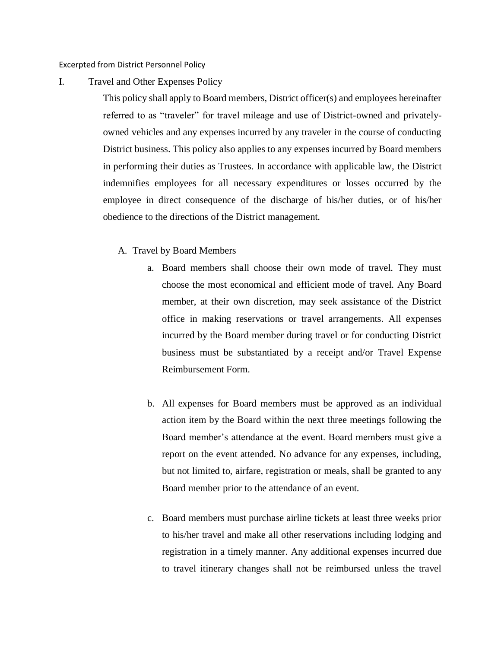Excerpted from District Personnel Policy

I. Travel and Other Expenses Policy

This policy shall apply to Board members, District officer(s) and employees hereinafter referred to as "traveler" for travel mileage and use of District-owned and privatelyowned vehicles and any expenses incurred by any traveler in the course of conducting District business. This policy also applies to any expenses incurred by Board members in performing their duties as Trustees. In accordance with applicable law, the District indemnifies employees for all necessary expenditures or losses occurred by the employee in direct consequence of the discharge of his/her duties, or of his/her obedience to the directions of the District management.

- A. Travel by Board Members
	- a. Board members shall choose their own mode of travel. They must choose the most economical and efficient mode of travel. Any Board member, at their own discretion, may seek assistance of the District office in making reservations or travel arrangements. All expenses incurred by the Board member during travel or for conducting District business must be substantiated by a receipt and/or Travel Expense Reimbursement Form.
	- b. All expenses for Board members must be approved as an individual action item by the Board within the next three meetings following the Board member's attendance at the event. Board members must give a report on the event attended. No advance for any expenses, including, but not limited to, airfare, registration or meals, shall be granted to any Board member prior to the attendance of an event.
	- c. Board members must purchase airline tickets at least three weeks prior to his/her travel and make all other reservations including lodging and registration in a timely manner. Any additional expenses incurred due to travel itinerary changes shall not be reimbursed unless the travel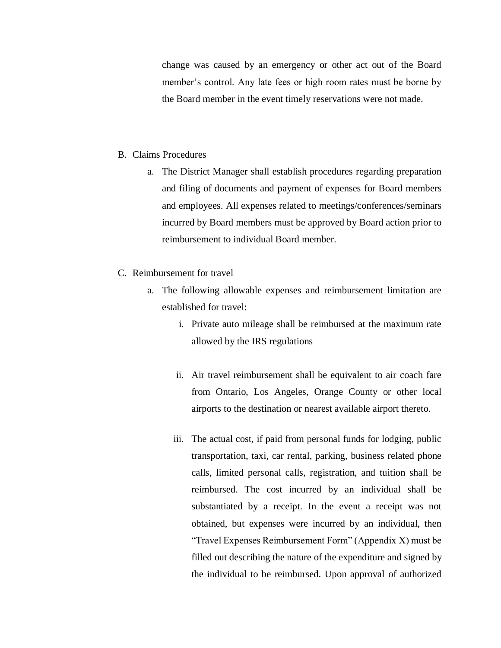change was caused by an emergency or other act out of the Board member's control. Any late fees or high room rates must be borne by the Board member in the event timely reservations were not made.

## B. Claims Procedures

- a. The District Manager shall establish procedures regarding preparation and filing of documents and payment of expenses for Board members and employees. All expenses related to meetings/conferences/seminars incurred by Board members must be approved by Board action prior to reimbursement to individual Board member.
- C. Reimbursement for travel
	- a. The following allowable expenses and reimbursement limitation are established for travel:
		- i. Private auto mileage shall be reimbursed at the maximum rate allowed by the IRS regulations
		- ii. Air travel reimbursement shall be equivalent to air coach fare from Ontario, Los Angeles, Orange County or other local airports to the destination or nearest available airport thereto.
		- iii. The actual cost, if paid from personal funds for lodging, public transportation, taxi, car rental, parking, business related phone calls, limited personal calls, registration, and tuition shall be reimbursed. The cost incurred by an individual shall be substantiated by a receipt. In the event a receipt was not obtained, but expenses were incurred by an individual, then "Travel Expenses Reimbursement Form" (Appendix X) must be filled out describing the nature of the expenditure and signed by the individual to be reimbursed. Upon approval of authorized